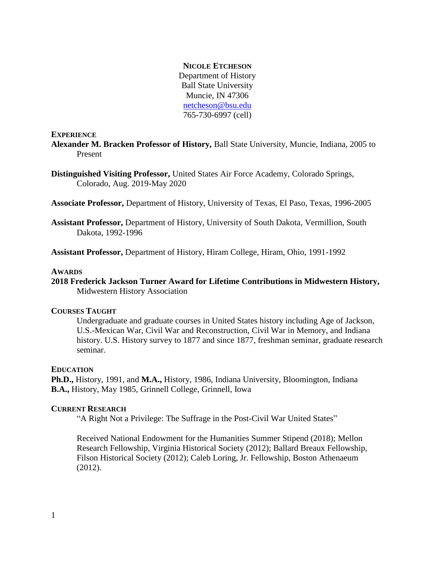### **NICOLE ETCHESON**

Department of History Ball State University Muncie, IN 47306 [netcheson@bsu.edu](mailto:netcheson@bsu.edu) 765-730-6997 (cell)

### **EXPERIENCE**

**Alexander M. Bracken Professor of History,** Ball State University, Muncie, Indiana, 2005 to Present

**Distinguished Visiting Professor,** United States Air Force Academy, Colorado Springs, Colorado, Aug. 2019-May 2020

**Associate Professor,** Department of History, University of Texas, El Paso, Texas, 1996-2005

**Assistant Professor,** Department of History, University of South Dakota, Vermillion, South Dakota, 1992-1996

**Assistant Professor,** Department of History, Hiram College, Hiram, Ohio, 1991-1992

#### **AWARDS**

**2018 Frederick Jackson Turner Award for Lifetime Contributions in Midwestern History,**  Midwestern History Association

#### **COURSES TAUGHT**

Undergraduate and graduate courses in United States history including Age of Jackson, U.S.-Mexican War, Civil War and Reconstruction, Civil War in Memory, and Indiana history. U.S. History survey to 1877 and since 1877, freshman seminar, graduate research seminar.

#### **EDUCATION**

**Ph.D.,** History, 1991, and **M.A.,** History, 1986, Indiana University, Bloomington, Indiana **B.A.,** History, May 1985, Grinnell College, Grinnell, Iowa

#### **CURRENT RESEARCH**

"A Right Not a Privilege: The Suffrage in the Post-Civil War United States"

Received National Endowment for the Humanities Summer Stipend (2018); Mellon Research Fellowship, Virginia Historical Society (2012); Ballard Breaux Fellowship, Filson Historical Society (2012); Caleb Loring, Jr. Fellowship, Boston Athenaeum (2012).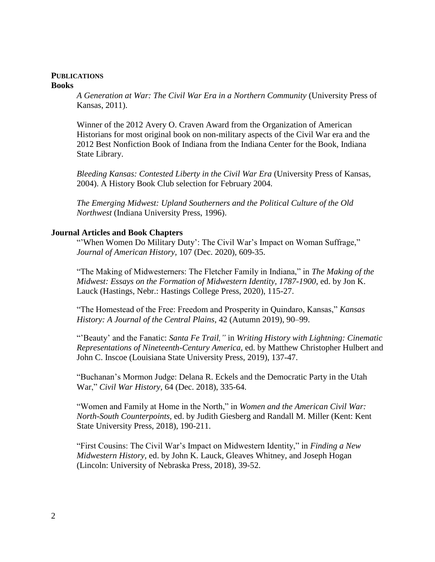### **PUBLICATIONS Books**

*A Generation at War: The Civil War Era in a Northern Community* (University Press of Kansas, 2011).

Winner of the 2012 Avery O. Craven Award from the Organization of American Historians for most original book on non-military aspects of the Civil War era and the 2012 Best Nonfiction Book of Indiana from the Indiana Center for the Book, Indiana State Library.

*Bleeding Kansas: Contested Liberty in the Civil War Era* (University Press of Kansas, 2004). A History Book Club selection for February 2004.

*The Emerging Midwest: Upland Southerners and the Political Culture of the Old Northwest* (Indiana University Press, 1996).

# **Journal Articles and Book Chapters**

"When Women Do Military Duty': The Civil War's Impact on Woman Suffrage," *Journal of American History,* 107 (Dec. 2020), 609-35.

"The Making of Midwesterners: The Fletcher Family in Indiana," in *The Making of the Midwest: Essays on the Formation of Midwestern Identity, 1787-1900,* ed. by Jon K. Lauck (Hastings, Nebr.: Hastings College Press, 2020), 115-27.

"The Homestead of the Free: Freedom and Prosperity in Quindaro, Kansas," *Kansas History: A Journal of the Central Plains,* 42 (Autumn 2019), 90–99.

"'Beauty' and the Fanatic: *Santa Fe Trail,"* in *Writing History with Lightning: Cinematic Representations of Nineteenth-Century America,* ed. by Matthew Christopher Hulbert and John C. Inscoe (Louisiana State University Press, 2019), 137-47.

"Buchanan's Mormon Judge: Delana R. Eckels and the Democratic Party in the Utah War," *Civil War History,* 64 (Dec. 2018), 335-64.

"Women and Family at Home in the North," in *Women and the American Civil War: North-South Counterpoints,* ed. by Judith Giesberg and Randall M. Miller (Kent: Kent State University Press, 2018), 190-211.

"First Cousins: The Civil War's Impact on Midwestern Identity," in *Finding a New Midwestern History,* ed. by John K. Lauck, Gleaves Whitney, and Joseph Hogan (Lincoln: University of Nebraska Press, 2018), 39-52.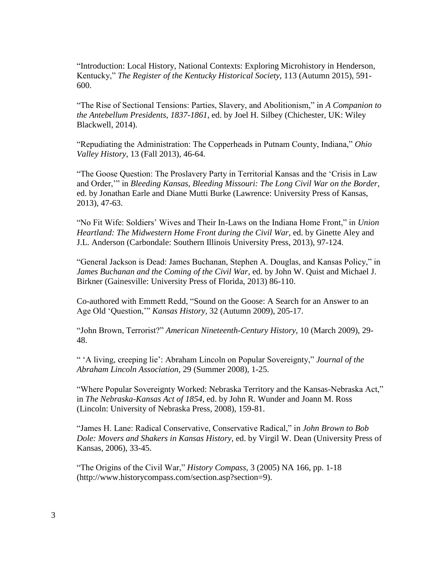"Introduction: Local History, National Contexts: Exploring Microhistory in Henderson, Kentucky," *The Register of the Kentucky Historical Society,* 113 (Autumn 2015), 591- 600.

"The Rise of Sectional Tensions: Parties, Slavery, and Abolitionism," in *A Companion to the Antebellum Presidents, 1837-1861,* ed. by Joel H. Silbey (Chichester, UK: Wiley Blackwell, 2014).

"Repudiating the Administration: The Copperheads in Putnam County, Indiana," *Ohio Valley History,* 13 (Fall 2013), 46-64.

"The Goose Question: The Proslavery Party in Territorial Kansas and the 'Crisis in Law and Order,'" in *Bleeding Kansas, Bleeding Missouri: The Long Civil War on the Border,* ed. by Jonathan Earle and Diane Mutti Burke (Lawrence: University Press of Kansas, 2013), 47-63.

"No Fit Wife: Soldiers' Wives and Their In-Laws on the Indiana Home Front," in *Union Heartland: The Midwestern Home Front during the Civil War,* ed. by Ginette Aley and J.L. Anderson (Carbondale: Southern Illinois University Press, 2013), 97-124.

"General Jackson is Dead: James Buchanan, Stephen A. Douglas, and Kansas Policy," in *James Buchanan and the Coming of the Civil War,* ed. by John W. Quist and Michael J. Birkner (Gainesville: University Press of Florida, 2013) 86-110.

Co-authored with Emmett Redd, "Sound on the Goose: A Search for an Answer to an Age Old 'Question,'" *Kansas History,* 32 (Autumn 2009), 205-17.

"John Brown, Terrorist?" *American Nineteenth-Century History,* 10 (March 2009), 29- 48.

" 'A living, creeping lie': Abraham Lincoln on Popular Sovereignty," *Journal of the Abraham Lincoln Association,* 29 (Summer 2008), 1-25.

"Where Popular Sovereignty Worked: Nebraska Territory and the Kansas-Nebraska Act," in *The Nebraska-Kansas Act of 1854,* ed. by John R. Wunder and Joann M. Ross (Lincoln: University of Nebraska Press, 2008), 159-81.

"James H. Lane: Radical Conservative, Conservative Radical," in *John Brown to Bob Dole: Movers and Shakers in Kansas History,* ed. by Virgil W. Dean (University Press of Kansas, 2006), 33-45.

"The Origins of the Civil War," *History Compass,* 3 (2005) NA 166, pp. 1-18 (http://www.historycompass.com/section.asp?section=9).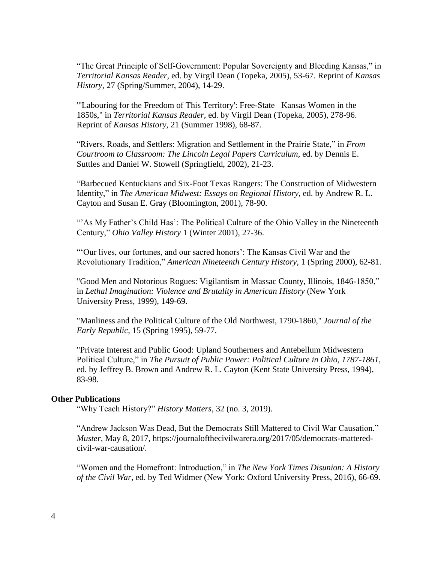"The Great Principle of Self-Government: Popular Sovereignty and Bleeding Kansas," in *Territorial Kansas Reader,* ed. by Virgil Dean (Topeka, 2005), 53-67. Reprint of *Kansas History,* 27 (Spring/Summer, 2004), 14-29.

"'Labouring for the Freedom of This Territory': Free-State Kansas Women in the 1850s," in *Territorial Kansas Reader,* ed. by Virgil Dean (Topeka, 2005), 278-96. Reprint of *Kansas History,* 21 (Summer 1998), 68-87.

"Rivers, Roads, and Settlers: Migration and Settlement in the Prairie State," in *From Courtroom to Classroom: The Lincoln Legal Papers Curriculum,* ed. by Dennis E. Suttles and Daniel W. Stowell (Springfield, 2002), 21-23.

"Barbecued Kentuckians and Six-Foot Texas Rangers: The Construction of Midwestern Identity," in *The American Midwest: Essays on Regional History,* ed. by Andrew R. L. Cayton and Susan E. Gray (Bloomington, 2001), 78-90.

""As My Father's Child Has': The Political Culture of the Ohio Valley in the Nineteenth Century," *Ohio Valley History* 1 (Winter 2001), 27-36.

"'Our lives, our fortunes, and our sacred honors': The Kansas Civil War and the Revolutionary Tradition," *American Nineteenth Century History,* 1 (Spring 2000), 62-81.

"Good Men and Notorious Rogues: Vigilantism in Massac County, Illinois, 1846-1850," in *Lethal Imagination: Violence and Brutality in American History* (New York University Press, 1999), 149-69.

"Manliness and the Political Culture of the Old Northwest, 1790-1860," *Journal of the Early Republic,* 15 (Spring 1995), 59-77.

"Private Interest and Public Good: Upland Southerners and Antebellum Midwestern Political Culture," in *The Pursuit of Public Power: Political Culture in Ohio, 1787-1861,* ed. by Jeffrey B. Brown and Andrew R. L. Cayton (Kent State University Press, 1994), 83-98.

#### **Other Publications**

"Why Teach History?" *History Matters,* 32 (no. 3, 2019).

"Andrew Jackson Was Dead, But the Democrats Still Mattered to Civil War Causation," *Muster,* May 8, 2017, https://journalofthecivilwarera.org/2017/05/democrats-matteredcivil-war-causation/.

"Women and the Homefront: Introduction," in *The New York Times Disunion: A History of the Civil War,* ed. by Ted Widmer (New York: Oxford University Press, 2016), 66-69.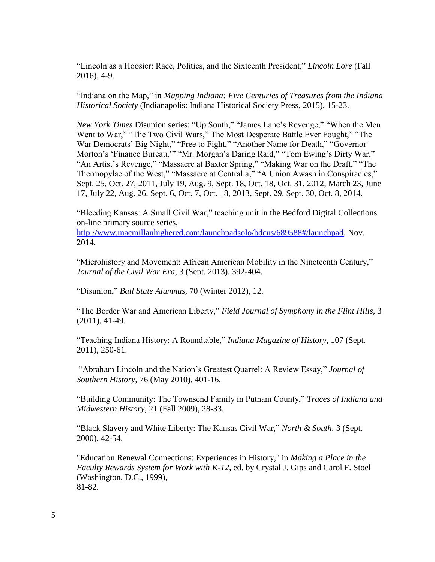"Lincoln as a Hoosier: Race, Politics, and the Sixteenth President," *Lincoln Lore* (Fall 2016), 4-9.

"Indiana on the Map," in *Mapping Indiana: Five Centuries of Treasures from the Indiana Historical Society* (Indianapolis: Indiana Historical Society Press, 2015), 15-23.

*New York Times* Disunion series: "Up South," "James Lane's Revenge," "When the Men Went to War," "The Two Civil Wars," The Most Desperate Battle Ever Fought," "The War Democrats' Big Night," "Free to Fight," "Another Name for Death," "Governor Morton's 'Finance Bureau,'" "Mr. Morgan's Daring Raid," "Tom Ewing's Dirty War," "An Artist's Revenge," "Massacre at Baxter Spring," "Making War on the Draft," "The Thermopylae of the West," "Massacre at Centralia," "A Union Awash in Conspiracies," Sept. 25, Oct. 27, 2011, July 19, Aug. 9, Sept. 18, Oct. 18, Oct. 31, 2012, March 23, June 17, July 22, Aug. 26, Sept. 6, Oct. 7, Oct. 18, 2013, Sept. 29, Sept. 30, Oct. 8, 2014.

"Bleeding Kansas: A Small Civil War," teaching unit in the Bedford Digital Collections on-line primary source series,

[http://www.macmillanhighered.com/launchpadsolo/bdcus/689588#/launchpad,](http://www.macmillanhighered.com/launchpadsolo/bdcus/689588#/launchpad) Nov. 2014.

"Microhistory and Movement: African American Mobility in the Nineteenth Century," *Journal of the Civil War Era,* 3 (Sept. 2013), 392-404.

"Disunion," *Ball State Alumnus,* 70 (Winter 2012), 12.

"The Border War and American Liberty," *Field Journal of Symphony in the Flint Hills,* 3 (2011), 41-49.

"Teaching Indiana History: A Roundtable," *Indiana Magazine of History,* 107 (Sept. 2011), 250-61.

"Abraham Lincoln and the Nation's Greatest Quarrel: A Review Essay," *Journal of Southern History,* 76 (May 2010), 401-16.

"Building Community: The Townsend Family in Putnam County," *Traces of Indiana and Midwestern History,* 21 (Fall 2009), 28-33.

"Black Slavery and White Liberty: The Kansas Civil War," *North & South,* 3 (Sept. 2000), 42-54.

"Education Renewal Connections: Experiences in History," in *Making a Place in the Faculty Rewards System for Work with K-12,* ed. by Crystal J. Gips and Carol F. Stoel (Washington, D.C., 1999), 81-82.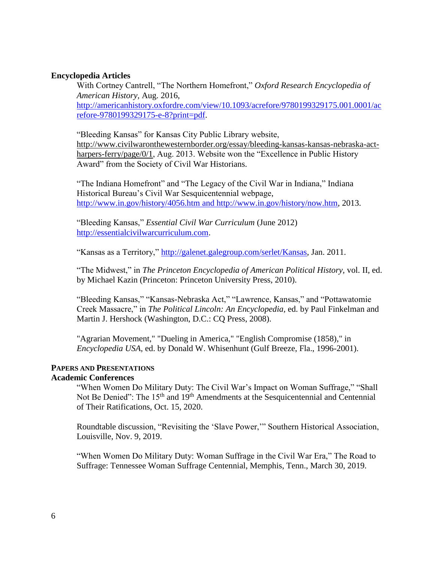## **Encyclopedia Articles**

With Cortney Cantrell, "The Northern Homefront," *Oxford Research Encyclopedia of American History,* Aug. 2016, [http://americanhistory.oxfordre.com/view/10.1093/acrefore/9780199329175.001.0001/ac](http://americanhistory.oxfordre.com/view/10.1093/acrefore/9780199329175.001.0001/acrefore-9780199329175-e-8?print=pdf) [refore-9780199329175-e-8?print=pdf.](http://americanhistory.oxfordre.com/view/10.1093/acrefore/9780199329175.001.0001/acrefore-9780199329175-e-8?print=pdf)

"Bleeding Kansas" for Kansas City Public Library website, [http://www.civilwaronthewesternborder.org/essay/bleeding-kansas-kansas-nebraska-act](http://www.civilwaronthewesternborder.org/essay/bleeding-kansas-kansas-nebraska-act-harpers-ferry/page/0/1)[harpers-ferry/page/0/1,](http://www.civilwaronthewesternborder.org/essay/bleeding-kansas-kansas-nebraska-act-harpers-ferry/page/0/1) Aug. 2013. Website won the "Excellence in Public History Award" from the Society of Civil War Historians.

"The Indiana Homefront" and "The Legacy of the Civil War in Indiana," Indiana Historical Bureau's Civil War Sesquicentennial webpage, <http://www.in.gov/history/4056.htm> and [http://www.in.gov/history/now.htm,](http://www.in.gov/history/now.htm) 2013.

"Bleeding Kansas," *Essential Civil War Curriculum* (June 2012) [http://essentialcivilwarcurriculum.com.](http://essentialcivilwarcurriculum.com/)

"Kansas as a Territory," http://galenet.galegroup.com/serlet/Kansas, Jan. 2011.

"The Midwest," in *The Princeton Encyclopedia of American Political History,* vol. II, ed. by Michael Kazin (Princeton: Princeton University Press, 2010).

"Bleeding Kansas," "Kansas-Nebraska Act," "Lawrence, Kansas," and "Pottawatomie Creek Massacre," in *The Political Lincoln: An Encyclopedia,* ed. by Paul Finkelman and Martin J. Hershock (Washington, D.C.: CQ Press, 2008).

"Agrarian Movement," "Dueling in America," "English Compromise (1858)," in *Encyclopedia USA,* ed. by Donald W. Whisenhunt (Gulf Breeze, Fla., 1996-2001).

## **PAPERS AND PRESENTATIONS**

# **Academic Conferences**

"When Women Do Military Duty: The Civil War's Impact on Woman Suffrage," "Shall Not Be Denied": The 15<sup>th</sup> and 19<sup>th</sup> Amendments at the Sesquicentennial and Centennial of Their Ratifications, Oct. 15, 2020.

Roundtable discussion, "Revisiting the 'Slave Power,'" Southern Historical Association, Louisville, Nov. 9, 2019.

"When Women Do Military Duty: Woman Suffrage in the Civil War Era," The Road to Suffrage: Tennessee Woman Suffrage Centennial, Memphis, Tenn., March 30, 2019.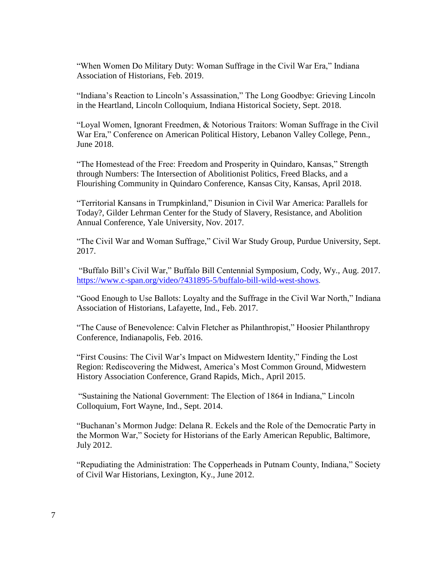"When Women Do Military Duty: Woman Suffrage in the Civil War Era," Indiana Association of Historians, Feb. 2019.

"Indiana's Reaction to Lincoln's Assassination," The Long Goodbye: Grieving Lincoln in the Heartland, Lincoln Colloquium, Indiana Historical Society, Sept. 2018.

"Loyal Women, Ignorant Freedmen, & Notorious Traitors: Woman Suffrage in the Civil War Era," Conference on American Political History, Lebanon Valley College, Penn., June 2018.

"The Homestead of the Free: Freedom and Prosperity in Quindaro, Kansas," Strength through Numbers: The Intersection of Abolitionist Politics, Freed Blacks, and a Flourishing Community in Quindaro Conference, Kansas City, Kansas, April 2018.

"Territorial Kansans in Trumpkinland," Disunion in Civil War America: Parallels for Today?, Gilder Lehrman Center for the Study of Slavery, Resistance, and Abolition Annual Conference, Yale University, Nov. 2017.

"The Civil War and Woman Suffrage," Civil War Study Group, Purdue University, Sept. 2017.

"Buffalo Bill's Civil War," Buffalo Bill Centennial Symposium, Cody, Wy., Aug. 2017. <https://www.c-span.org/video/?431895-5/buffalo-bill-wild-west-shows>.

"Good Enough to Use Ballots: Loyalty and the Suffrage in the Civil War North," Indiana Association of Historians, Lafayette, Ind., Feb. 2017.

"The Cause of Benevolence: Calvin Fletcher as Philanthropist," Hoosier Philanthropy Conference, Indianapolis, Feb. 2016.

"First Cousins: The Civil War's Impact on Midwestern Identity," Finding the Lost Region: Rediscovering the Midwest, America's Most Common Ground, Midwestern History Association Conference, Grand Rapids, Mich., April 2015.

"Sustaining the National Government: The Election of 1864 in Indiana," Lincoln Colloquium, Fort Wayne, Ind., Sept. 2014.

"Buchanan's Mormon Judge: Delana R. Eckels and the Role of the Democratic Party in the Mormon War," Society for Historians of the Early American Republic, Baltimore, July 2012.

"Repudiating the Administration: The Copperheads in Putnam County, Indiana," Society of Civil War Historians, Lexington, Ky., June 2012.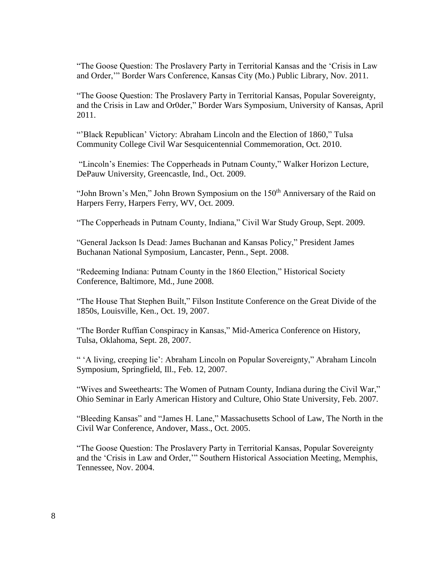"The Goose Question: The Proslavery Party in Territorial Kansas and the 'Crisis in Law and Order,'" Border Wars Conference, Kansas City (Mo.) Public Library, Nov. 2011.

"The Goose Question: The Proslavery Party in Territorial Kansas, Popular Sovereignty, and the Crisis in Law and Or0der," Border Wars Symposium, University of Kansas, April 2011.

"'Black Republican' Victory: Abraham Lincoln and the Election of 1860," Tulsa Community College Civil War Sesquicentennial Commemoration, Oct. 2010.

"Lincoln's Enemies: The Copperheads in Putnam County," Walker Horizon Lecture, DePauw University, Greencastle, Ind., Oct. 2009.

"John Brown's Men," John Brown Symposium on the 150<sup>th</sup> Anniversary of the Raid on Harpers Ferry, Harpers Ferry, WV, Oct. 2009.

"The Copperheads in Putnam County, Indiana," Civil War Study Group, Sept. 2009.

"General Jackson Is Dead: James Buchanan and Kansas Policy," President James Buchanan National Symposium, Lancaster, Penn., Sept. 2008.

"Redeeming Indiana: Putnam County in the 1860 Election," Historical Society Conference, Baltimore, Md., June 2008.

"The House That Stephen Built," Filson Institute Conference on the Great Divide of the 1850s, Louisville, Ken., Oct. 19, 2007.

"The Border Ruffian Conspiracy in Kansas," Mid-America Conference on History, Tulsa, Oklahoma, Sept. 28, 2007.

" 'A living, creeping lie': Abraham Lincoln on Popular Sovereignty," Abraham Lincoln Symposium, Springfield, Ill., Feb. 12, 2007.

"Wives and Sweethearts: The Women of Putnam County, Indiana during the Civil War," Ohio Seminar in Early American History and Culture, Ohio State University, Feb. 2007.

"Bleeding Kansas" and "James H. Lane," Massachusetts School of Law, The North in the Civil War Conference, Andover, Mass., Oct. 2005.

"The Goose Question: The Proslavery Party in Territorial Kansas, Popular Sovereignty and the 'Crisis in Law and Order,'" Southern Historical Association Meeting, Memphis, Tennessee, Nov. 2004.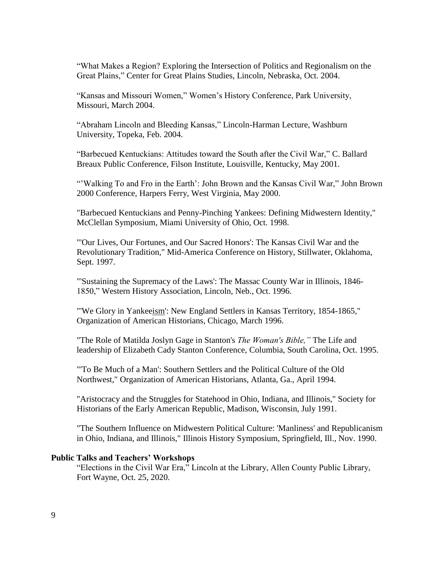"What Makes a Region? Exploring the Intersection of Politics and Regionalism on the Great Plains," Center for Great Plains Studies, Lincoln, Nebraska, Oct. 2004.

"Kansas and Missouri Women," Women's History Conference, Park University, Missouri, March 2004.

"Abraham Lincoln and Bleeding Kansas," Lincoln-Harman Lecture, Washburn University, Topeka, Feb. 2004.

"Barbecued Kentuckians: Attitudes toward the South after the Civil War," C. Ballard Breaux Public Conference, Filson Institute, Louisville, Kentucky, May 2001.

"'Walking To and Fro in the Earth': John Brown and the Kansas Civil War," John Brown 2000 Conference, Harpers Ferry, West Virginia, May 2000.

"Barbecued Kentuckians and Penny-Pinching Yankees: Defining Midwestern Identity," McClellan Symposium, Miami University of Ohio, Oct. 1998.

"'Our Lives, Our Fortunes, and Our Sacred Honors': The Kansas Civil War and the Revolutionary Tradition," Mid-America Conference on History, Stillwater, Oklahoma, Sept. 1997.

"'Sustaining the Supremacy of the Laws': The Massac County War in Illinois, 1846- 1850," Western History Association, Lincoln, Neb., Oct. 1996.

"'We Glory in Yankeeism': New England Settlers in Kansas Territory, 1854-1865," Organization of American Historians, Chicago, March 1996.

"The Role of Matilda Joslyn Gage in Stanton's *The Woman's Bible,"* The Life and leadership of Elizabeth Cady Stanton Conference, Columbia, South Carolina, Oct. 1995.

"'To Be Much of a Man': Southern Settlers and the Political Culture of the Old Northwest," Organization of American Historians, Atlanta, Ga., April 1994.

"Aristocracy and the Struggles for Statehood in Ohio, Indiana, and Illinois," Society for Historians of the Early American Republic, Madison, Wisconsin, July 1991.

"The Southern Influence on Midwestern Political Culture: 'Manliness' and Republicanism in Ohio, Indiana, and Illinois," Illinois History Symposium, Springfield, Ill., Nov. 1990.

### **Public Talks and Teachers' Workshops**

"Elections in the Civil War Era," Lincoln at the Library, Allen County Public Library, Fort Wayne, Oct. 25, 2020.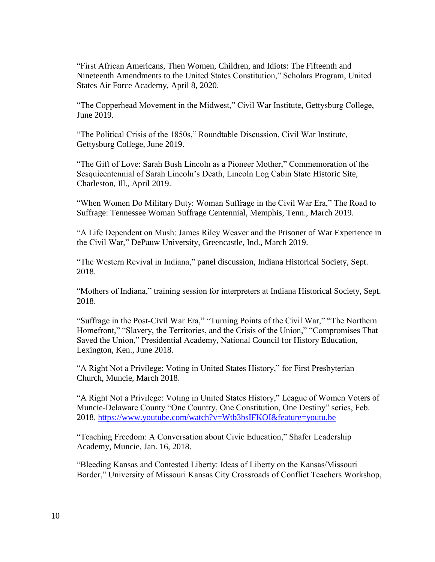"First African Americans, Then Women, Children, and Idiots: The Fifteenth and Nineteenth Amendments to the United States Constitution," Scholars Program, United States Air Force Academy, April 8, 2020.

"The Copperhead Movement in the Midwest," Civil War Institute, Gettysburg College, June 2019.

"The Political Crisis of the 1850s," Roundtable Discussion, Civil War Institute, Gettysburg College, June 2019.

"The Gift of Love: Sarah Bush Lincoln as a Pioneer Mother," Commemoration of the Sesquicentennial of Sarah Lincoln's Death, Lincoln Log Cabin State Historic Site, Charleston, Ill., April 2019.

"When Women Do Military Duty: Woman Suffrage in the Civil War Era," The Road to Suffrage: Tennessee Woman Suffrage Centennial, Memphis, Tenn., March 2019.

"A Life Dependent on Mush: James Riley Weaver and the Prisoner of War Experience in the Civil War," DePauw University, Greencastle, Ind., March 2019.

"The Western Revival in Indiana," panel discussion, Indiana Historical Society, Sept. 2018.

"Mothers of Indiana," training session for interpreters at Indiana Historical Society, Sept. 2018.

"Suffrage in the Post-Civil War Era," "Turning Points of the Civil War," "The Northern Homefront," "Slavery, the Territories, and the Crisis of the Union," "Compromises That Saved the Union," Presidential Academy, National Council for History Education, Lexington, Ken., June 2018.

"A Right Not a Privilege: Voting in United States History," for First Presbyterian Church, Muncie, March 2018.

"A Right Not a Privilege: Voting in United States History," League of Women Voters of Muncie-Delaware County "One Country, One Constitution, One Destiny" series, Feb. 2018.<https://www.youtube.com/watch?v=Wtb3bsIFKOI&feature=youtu.be>

"Teaching Freedom: A Conversation about Civic Education," Shafer Leadership Academy, Muncie, Jan. 16, 2018.

"Bleeding Kansas and Contested Liberty: Ideas of Liberty on the Kansas/Missouri Border," University of Missouri Kansas City Crossroads of Conflict Teachers Workshop,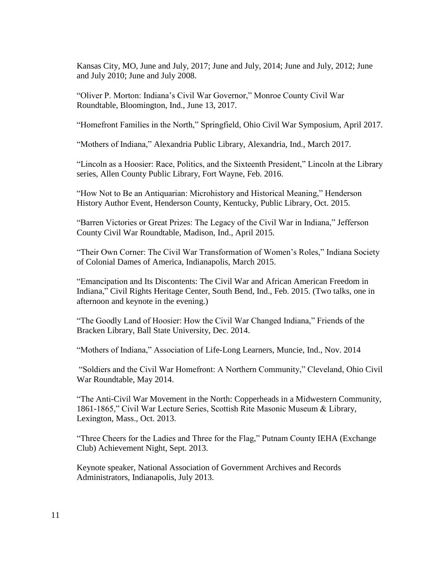Kansas City, MO, June and July, 2017; June and July, 2014; June and July, 2012; June and July 2010; June and July 2008.

"Oliver P. Morton: Indiana's Civil War Governor," Monroe County Civil War Roundtable, Bloomington, Ind., June 13, 2017.

"Homefront Families in the North," Springfield, Ohio Civil War Symposium, April 2017.

"Mothers of Indiana," Alexandria Public Library, Alexandria, Ind., March 2017.

"Lincoln as a Hoosier: Race, Politics, and the Sixteenth President," Lincoln at the Library series, Allen County Public Library, Fort Wayne, Feb. 2016.

"How Not to Be an Antiquarian: Microhistory and Historical Meaning," Henderson History Author Event, Henderson County, Kentucky, Public Library, Oct. 2015.

"Barren Victories or Great Prizes: The Legacy of the Civil War in Indiana," Jefferson County Civil War Roundtable, Madison, Ind., April 2015.

"Their Own Corner: The Civil War Transformation of Women's Roles," Indiana Society of Colonial Dames of America, Indianapolis, March 2015.

"Emancipation and Its Discontents: The Civil War and African American Freedom in Indiana," Civil Rights Heritage Center, South Bend, Ind., Feb. 2015. (Two talks, one in afternoon and keynote in the evening.)

"The Goodly Land of Hoosier: How the Civil War Changed Indiana," Friends of the Bracken Library, Ball State University, Dec. 2014.

"Mothers of Indiana," Association of Life-Long Learners, Muncie, Ind., Nov. 2014

"Soldiers and the Civil War Homefront: A Northern Community," Cleveland, Ohio Civil War Roundtable, May 2014.

"The Anti-Civil War Movement in the North: Copperheads in a Midwestern Community, 1861-1865," Civil War Lecture Series, Scottish Rite Masonic Museum & Library, Lexington, Mass., Oct. 2013.

"Three Cheers for the Ladies and Three for the Flag," Putnam County IEHA (Exchange Club) Achievement Night, Sept. 2013.

Keynote speaker, National Association of Government Archives and Records Administrators, Indianapolis, July 2013.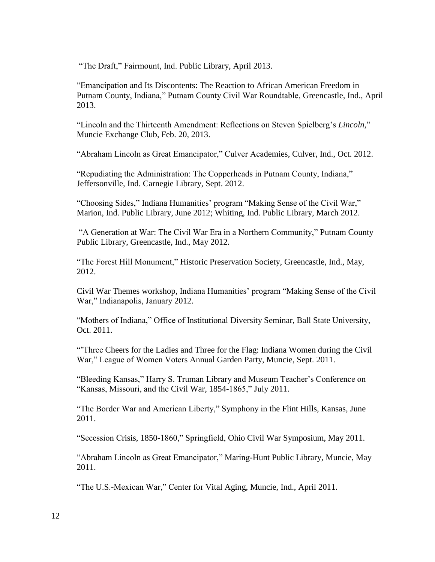"The Draft," Fairmount, Ind. Public Library, April 2013.

"Emancipation and Its Discontents: The Reaction to African American Freedom in Putnam County, Indiana," Putnam County Civil War Roundtable, Greencastle, Ind., April 2013.

"Lincoln and the Thirteenth Amendment: Reflections on Steven Spielberg's *Lincoln,*" Muncie Exchange Club, Feb. 20, 2013.

"Abraham Lincoln as Great Emancipator," Culver Academies, Culver, Ind., Oct. 2012.

"Repudiating the Administration: The Copperheads in Putnam County, Indiana," Jeffersonville, Ind. Carnegie Library, Sept. 2012.

"Choosing Sides," Indiana Humanities' program "Making Sense of the Civil War," Marion, Ind. Public Library, June 2012; Whiting, Ind. Public Library, March 2012.

"A Generation at War: The Civil War Era in a Northern Community," Putnam County Public Library, Greencastle, Ind., May 2012.

"The Forest Hill Monument," Historic Preservation Society, Greencastle, Ind., May, 2012.

Civil War Themes workshop, Indiana Humanities' program "Making Sense of the Civil War," Indianapolis, January 2012.

"Mothers of Indiana," Office of Institutional Diversity Seminar, Ball State University, Oct. 2011.

"'Three Cheers for the Ladies and Three for the Flag: Indiana Women during the Civil War," League of Women Voters Annual Garden Party, Muncie, Sept. 2011.

"Bleeding Kansas," Harry S. Truman Library and Museum Teacher's Conference on "Kansas, Missouri, and the Civil War, 1854-1865," July 2011.

"The Border War and American Liberty," Symphony in the Flint Hills, Kansas, June 2011.

"Secession Crisis, 1850-1860," Springfield, Ohio Civil War Symposium, May 2011.

"Abraham Lincoln as Great Emancipator," Maring-Hunt Public Library, Muncie, May 2011.

"The U.S.-Mexican War," Center for Vital Aging, Muncie, Ind., April 2011.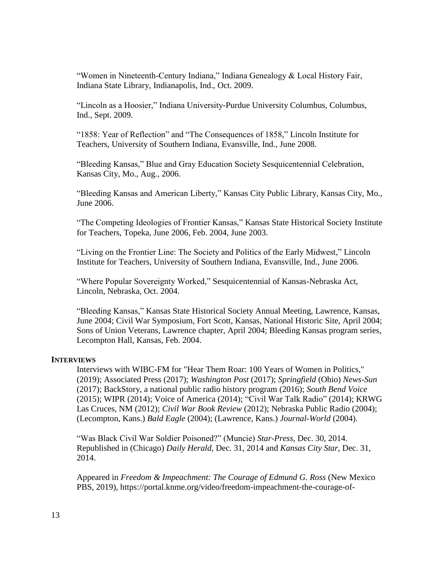"Women in Nineteenth-Century Indiana," Indiana Genealogy & Local History Fair, Indiana State Library, Indianapolis, Ind., Oct. 2009.

"Lincoln as a Hoosier," Indiana University-Purdue University Columbus, Columbus, Ind., Sept. 2009.

"1858: Year of Reflection" and "The Consequences of 1858," Lincoln Institute for Teachers, University of Southern Indiana, Evansville, Ind., June 2008.

"Bleeding Kansas," Blue and Gray Education Society Sesquicentennial Celebration, Kansas City, Mo., Aug., 2006.

"Bleeding Kansas and American Liberty," Kansas City Public Library, Kansas City, Mo., June 2006.

"The Competing Ideologies of Frontier Kansas," Kansas State Historical Society Institute for Teachers, Topeka, June 2006, Feb. 2004, June 2003.

"Living on the Frontier Line: The Society and Politics of the Early Midwest," Lincoln Institute for Teachers, University of Southern Indiana, Evansville, Ind., June 2006.

"Where Popular Sovereignty Worked," Sesquicentennial of Kansas-Nebraska Act, Lincoln, Nebraska, Oct. 2004.

"Bleeding Kansas," Kansas State Historical Society Annual Meeting, Lawrence, Kansas, June 2004; Civil War Symposium, Fort Scott, Kansas, National Historic Site, April 2004; Sons of Union Veterans, Lawrence chapter, April 2004; Bleeding Kansas program series, Lecompton Hall, Kansas, Feb. 2004.

### **INTERVIEWS**

Interviews with WIBC-FM for "Hear Them Roar: 100 Years of Women in Politics," (2019); Associated Press (2017); *Washington Post* (2017); *Springfield* (Ohio) *News-Sun*  (2017); BackStory, a national public radio history program (2016); *South Bend Voice* (2015); WIPR (2014); Voice of America (2014); "Civil War Talk Radio" (2014); KRWG Las Cruces, NM (2012); *Civil War Book Review* (2012); Nebraska Public Radio (2004); (Lecompton, Kans.) *Bald Eagle* (2004); (Lawrence, Kans.) *Journal-World* (2004).

"Was Black Civil War Soldier Poisoned?" (Muncie) *Star-Press,* Dec. 30, 2014. Republished in (Chicago) *Daily Herald,* Dec. 31, 2014 and *Kansas City Star,* Dec. 31, 2014.

Appeared in *Freedom & Impeachment: The Courage of Edmund G. Ross* (New Mexico PBS, 2019), https://portal.knme.org/video/freedom-impeachment-the-courage-of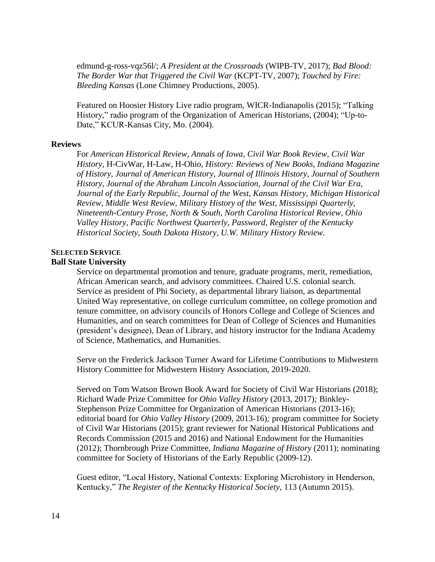edmund-g-ross-vqz56l/; *A President at the Crossroads* (WIPB-TV, 2017); *Bad Blood: The Border War that Triggered the Civil War* (KCPT-TV, 2007); *Touched by Fire: Bleeding Kansas* (Lone Chimney Productions, 2005).

Featured on Hoosier History Live radio program, WICR-Indianapolis (2015); "Talking History," radio program of the Organization of American Historians, (2004); "Up-to-Date," KCUR-Kansas City, Mo. (2004).

### **Reviews**

For *American Historical Review, Annals of Iowa, Civil War Book Review, Civil War History,* H-CivWar, H-Law, H-Ohio, *History: Reviews of New Books, Indiana Magazine of History, Journal of American History, Journal of Illinois History, Journal of Southern History, Journal of the Abraham Lincoln Association, Journal of the Civil War Era, Journal of the Early Republic, Journal of the West, Kansas History, Michigan Historical Review, Middle West Review, Military History of the West, Mississippi Quarterly, Nineteenth-Century Prose, North & South, North Carolina Historical Review, Ohio Valley History, Pacific Northwest Quarterly, Password, Register of the Kentucky Historical Society, South Dakota History, U.W. Military History Review.*

# **SELECTED SERVICE**

## **Ball State University**

Service on departmental promotion and tenure, graduate programs, merit, remediation, African American search, and advisory committees. Chaired U.S. colonial search. Service as president of Phi Society, as departmental library liaison, as departmental United Way representative, on college curriculum committee, on college promotion and tenure committee, on advisory councils of Honors College and College of Sciences and Humanities, and on search committees for Dean of College of Sciences and Humanities (president's designee), Dean of Library, and history instructor for the Indiana Academy of Science, Mathematics, and Humanities.

Serve on the Frederick Jackson Turner Award for Lifetime Contributions to Midwestern History Committee for Midwestern History Association, 2019-2020.

Served on Tom Watson Brown Book Award for Society of Civil War Historians (2018); Richard Wade Prize Committee for *Ohio Valley History* (2013, 2017)*;* Binkley-Stephenson Prize Committee for Organization of American Historians (2013-16); editorial board for *Ohio Valley History* (2009, 2013-16)*;* program committee for Society of Civil War Historians (2015); grant reviewer for National Historical Publications and Records Commission (2015 and 2016) and National Endowment for the Humanities (2012); Thornbrough Prize Committee, *Indiana Magazine of History* (2011); nominating committee for Society of Historians of the Early Republic (2009-12).

Guest editor, "Local History, National Contexts: Exploring Microhistory in Henderson, Kentucky," *The Register of the Kentucky Historical Society,* 113 (Autumn 2015).